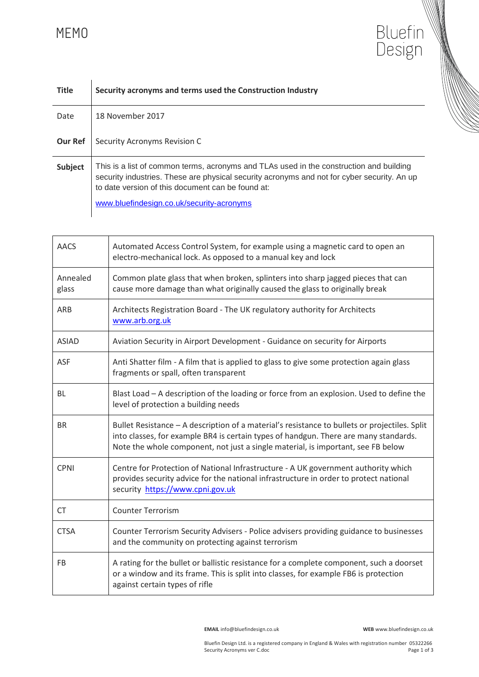## MEMO

| MFMU           | RINGHI.<br>l Jesiøn                                                                                                                                                                                                                                                                      |  |
|----------------|------------------------------------------------------------------------------------------------------------------------------------------------------------------------------------------------------------------------------------------------------------------------------------------|--|
| <b>Title</b>   | Security acronyms and terms used the Construction Industry                                                                                                                                                                                                                               |  |
| Date           | 18 November 2017                                                                                                                                                                                                                                                                         |  |
| <b>Our Ref</b> | Security Acronyms Revision C                                                                                                                                                                                                                                                             |  |
| Subject        | This is a list of common terms, acronyms and TLAs used in the construction and building<br>security industries. These are physical security acronyms and not for cyber security. An up<br>to date version of this document can be found at:<br>www.bluefindesign.co.uk/security-acronyms |  |

| <b>AACS</b>       | Automated Access Control System, for example using a magnetic card to open an<br>electro-mechanical lock. As opposed to a manual key and lock                                                                                                                             |
|-------------------|---------------------------------------------------------------------------------------------------------------------------------------------------------------------------------------------------------------------------------------------------------------------------|
| Annealed<br>glass | Common plate glass that when broken, splinters into sharp jagged pieces that can<br>cause more damage than what originally caused the glass to originally break                                                                                                           |
| ARB               | Architects Registration Board - The UK regulatory authority for Architects<br>www.arb.org.uk                                                                                                                                                                              |
| <b>ASIAD</b>      | Aviation Security in Airport Development - Guidance on security for Airports                                                                                                                                                                                              |
| ASF               | Anti Shatter film - A film that is applied to glass to give some protection again glass<br>fragments or spall, often transparent                                                                                                                                          |
| BL                | Blast Load - A description of the loading or force from an explosion. Used to define the<br>level of protection a building needs                                                                                                                                          |
| <b>BR</b>         | Bullet Resistance - A description of a material's resistance to bullets or projectiles. Split<br>into classes, for example BR4 is certain types of handgun. There are many standards.<br>Note the whole component, not just a single material, is important, see FB below |
| <b>CPNI</b>       | Centre for Protection of National Infrastructure - A UK government authority which<br>provides security advice for the national infrastructure in order to protect national<br>security https://www.cpni.gov.uk                                                           |
| <b>CT</b>         | <b>Counter Terrorism</b>                                                                                                                                                                                                                                                  |
| <b>CTSA</b>       | Counter Terrorism Security Advisers - Police advisers providing guidance to businesses<br>and the community on protecting against terrorism                                                                                                                               |
| <b>FB</b>         | A rating for the bullet or ballistic resistance for a complete component, such a doorset<br>or a window and its frame. This is split into classes, for example FB6 is protection<br>against certain types of rifle                                                        |

 **EMAIL** info@bluefindesign.co.uk **WEB** www.bluefindesign.co.uk

Bluefin<br>Design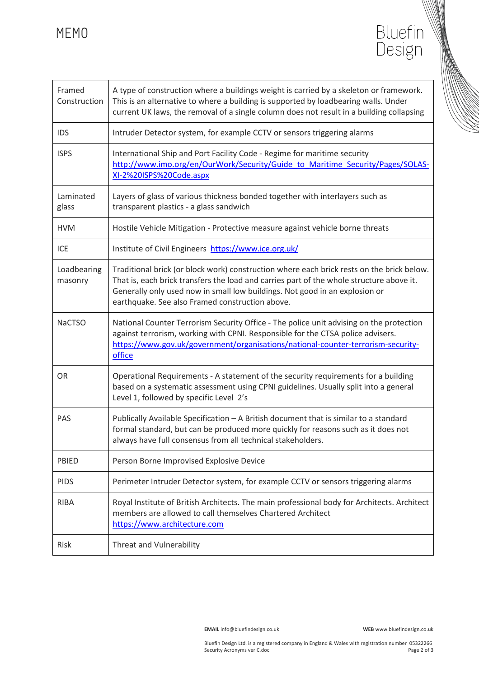MEMO

| Framed<br>Construction | A type of construction where a buildings weight is carried by a skeleton or framework.<br>This is an alternative to where a building is supported by loadbearing walls. Under<br>current UK laws, the removal of a single column does not result in a building collapsing                                               |
|------------------------|-------------------------------------------------------------------------------------------------------------------------------------------------------------------------------------------------------------------------------------------------------------------------------------------------------------------------|
| <b>IDS</b>             | Intruder Detector system, for example CCTV or sensors triggering alarms                                                                                                                                                                                                                                                 |
| <b>ISPS</b>            | International Ship and Port Facility Code - Regime for maritime security<br>http://www.imo.org/en/OurWork/Security/Guide to Maritime Security/Pages/SOLAS-<br>XI-2%20ISPS%20Code.aspx                                                                                                                                   |
| Laminated<br>glass     | Layers of glass of various thickness bonded together with interlayers such as<br>transparent plastics - a glass sandwich                                                                                                                                                                                                |
| <b>HVM</b>             | Hostile Vehicle Mitigation - Protective measure against vehicle borne threats                                                                                                                                                                                                                                           |
| ICE                    | Institute of Civil Engineers https://www.ice.org.uk/                                                                                                                                                                                                                                                                    |
| Loadbearing<br>masonry | Traditional brick (or block work) construction where each brick rests on the brick below.<br>That is, each brick transfers the load and carries part of the whole structure above it.<br>Generally only used now in small low buildings. Not good in an explosion or<br>earthquake. See also Framed construction above. |
| <b>NaCTSO</b>          | National Counter Terrorism Security Office - The police unit advising on the protection<br>against terrorism, working with CPNI. Responsible for the CTSA police advisers.<br>https://www.gov.uk/government/organisations/national-counter-terrorism-security-<br>office                                                |
| <b>OR</b>              | Operational Requirements - A statement of the security requirements for a building<br>based on a systematic assessment using CPNI guidelines. Usually split into a general<br>Level 1, followed by specific Level 2's                                                                                                   |
| PAS                    | Publically Available Specification - A British document that is similar to a standard<br>formal standard, but can be produced more quickly for reasons such as it does not<br>always have full consensus from all technical stakeholders.                                                                               |
| PBIED                  | Person Borne Improvised Explosive Device                                                                                                                                                                                                                                                                                |
| <b>PIDS</b>            | Perimeter Intruder Detector system, for example CCTV or sensors triggering alarms                                                                                                                                                                                                                                       |
| <b>RIBA</b>            | Royal Institute of British Architects. The main professional body for Architects. Architect<br>members are allowed to call themselves Chartered Architect<br>https://www.architecture.com                                                                                                                               |
| Risk                   | Threat and Vulnerability                                                                                                                                                                                                                                                                                                |

 **EMAIL** info@bluefindesign.co.uk **WEB** www.bluefindesign.co.uk

Bluefin<br>Design